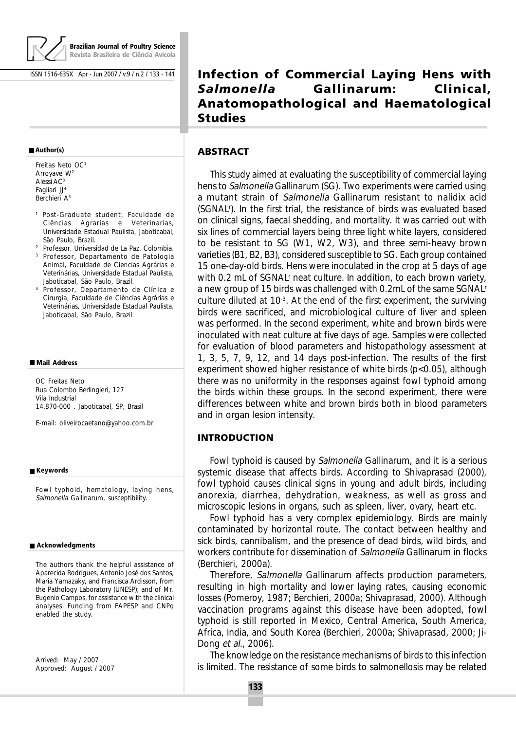

**Brazilian Journal of Poultry Science Revista Brasileira de Ciência Avícola**

ISSN 1516-635X Apr - Jun 2007 / v.9 / n.2 / 133 - 141

#### **Author(s)**

Freitas Neto OC1 Arroyave W<sup>2</sup> Alessi AC3 Fagliari JJ4 Berchieri A3

- 1 Post-Graduate student, Faculdade de Ciências Agrarias e Veterinarias, Universidade Estadual Paulista, Jaboticabal, São Paulo, Brazil.
- <sup>2</sup> Professor, Universidad de La Paz, Colombia. <sup>3</sup> Professor, Departamento de Patologia Animal, Faculdade de Ciencias Agrárias e Veterinárias, Universidade Estadual Paulista, Jaboticabal, São Paulo, Brazil.
- <sup>4</sup> Professor, Departamento de Clínica e Cirurgia, Faculdade de Ciências Agrárias e Veterinárias, Universidade Estadual Paulista, Jaboticabal, São Paulo, Brazil.

#### **Mail Address**

OC Freitas Neto Rua Colombo Berlingieri, 127 Vila Industrial 14.870-000 . Jaboticabal, SP, Brasil

E-mail: oliveirocaetano@yahoo.com.br

#### **Keywords**

Fowl typhoid, hematology, laying hens, Salmonella Gallinarum, susceptibility.

#### **Acknowledgments**

The authors thank the helpful assistance of Aparecida Rodrigues, Antonio José dos Santos, Maria Yamazaky, and Francisca Ardisson, from the Pathology Laboratory (UNESP); and of Mr. Eugenio Campos, for assistance with the clinical analyses. Funding from FAPESP and CNPq enabled the study.

Arrived: May / 2007 Approved: August / 2007

# **Infection of Commercial Laying Hens with** *Salmonella* **Gallinarum: Clinical, Anatomopathological and Haematological Studies**

## **ABSTRACT**

This study aimed at evaluating the susceptibility of commercial laying hens to Salmonella Gallinarum (SG). Two experiments were carried using a mutant strain of Salmonella Gallinarum resistant to nalidix acid (SGNAL<sup>r</sup>). In the first trial, the resistance of birds was evaluated based on clinical signs, faecal shedding, and mortality. It was carried out with six lines of commercial layers being three light white layers, considered to be resistant to SG (W1, W2, W3), and three semi-heavy brown varieties (B1, B2, B3), considered susceptible to SG. Each group contained 15 one-day-old birds. Hens were inoculated in the crop at 5 days of age with 0.2 mL of SGNAL<sup>r</sup> neat culture. In addition, to each brown variety, a new group of 15 birds was challenged with 0.2mL of the same SGNALr culture diluted at  $10^{-3}$ . At the end of the first experiment, the surviving birds were sacrificed, and microbiological culture of liver and spleen was performed. In the second experiment, white and brown birds were inoculated with neat culture at five days of age. Samples were collected for evaluation of blood parameters and histopathology assessment at 1, 3, 5, 7, 9, 12, and 14 days post-infection. The results of the first experiment showed higher resistance of white birds  $(p<0.05)$ , although there was no uniformity in the responses against fowl typhoid among the birds within these groups. In the second experiment, there were differences between white and brown birds both in blood parameters and in organ lesion intensity.

#### **INTRODUCTION**

Fowl typhoid is caused by Salmonella Gallinarum, and it is a serious systemic disease that affects birds. According to Shivaprasad (2000), fowl typhoid causes clinical signs in young and adult birds, including anorexia, diarrhea, dehydration, weakness, as well as gross and microscopic lesions in organs, such as spleen, liver, ovary, heart etc.

Fowl typhoid has a very complex epidemiology. Birds are mainly contaminated by horizontal route. The contact between healthy and sick birds, cannibalism, and the presence of dead birds, wild birds, and workers contribute for dissemination of Salmonella Gallinarum in flocks (Berchieri, 2000a).

Therefore, Salmonella Gallinarum affects production parameters, resulting in high mortality and lower laying rates, causing economic losses (Pomeroy, 1987; Berchieri, 2000a; Shivaprasad, 2000). Although vaccination programs against this disease have been adopted, fowl typhoid is still reported in Mexico, Central America, South America, Africa, India, and South Korea (Berchieri, 2000a; Shivaprasad, 2000; Ji-Dong et al., 2006).

The knowledge on the resistance mechanisms of birds to this infection is limited. The resistance of some birds to salmonellosis may be related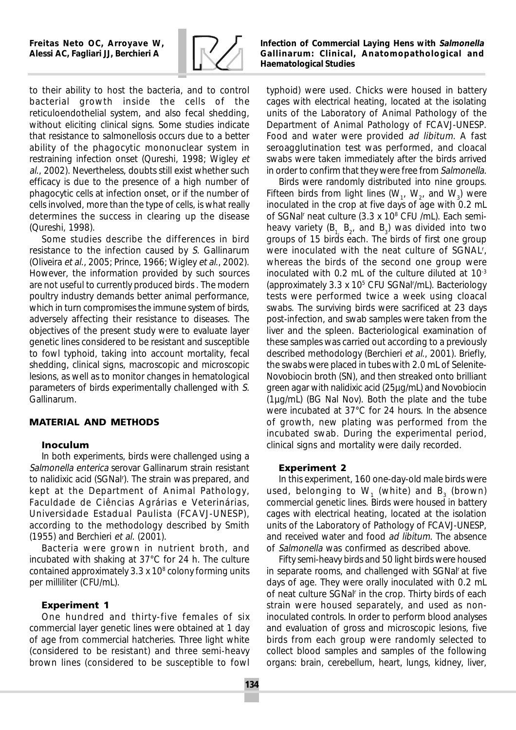

to their ability to host the bacteria, and to control bacterial growth inside the cells of the reticuloendothelial system, and also fecal shedding, without eliciting clinical signs. Some studies indicate that resistance to salmonellosis occurs due to a better ability of the phagocytic mononuclear system in restraining infection onset (Qureshi, 1998; Wigley et al., 2002). Nevertheless, doubts still exist whether such efficacy is due to the presence of a high number of phagocytic cells at infection onset, or if the number of cells involved, more than the type of cells, is what really determines the success in clearing up the disease (Qureshi, 1998).

Some studies describe the differences in bird resistance to the infection caused by S. Gallinarum (Oliveira et al., 2005; Prince, 1966; Wigley et al., 2002). However, the information provided by such sources are not useful to currently produced birds . The modern poultry industry demands better animal performance, which in turn compromises the immune system of birds, adversely affecting their resistance to diseases. The objectives of the present study were to evaluate layer genetic lines considered to be resistant and susceptible to fowl typhoid, taking into account mortality, fecal shedding, clinical signs, macroscopic and microscopic lesions, as well as to monitor changes in hematological parameters of birds experimentally challenged with S. Gallinarum.

## **MATERIAL AND METHODS**

### **Inoculum**

In both experiments, birds were challenged using a Salmonella enterica serovar Gallinarum strain resistant to nalidixic acid (SGNalr ). The strain was prepared, and kept at the Department of Animal Pathology, Faculdade de Ciências Agrárias e Veterinárias, Universidade Estadual Paulista (FCAVJ-UNESP), according to the methodology described by Smith (1955) and Berchieri et al. (2001).

Bacteria were grown in nutrient broth, and incubated with shaking at 37°C for 24 h. The culture contained approximately  $3.3 \times 10^8$  colony forming units per milliliter (CFU/mL).

### **Experiment 1**

One hundred and thirty-five females of six commercial layer genetic lines were obtained at 1 day of age from commercial hatcheries. Three light white (considered to be resistant) and three semi-heavy brown lines (considered to be susceptible to fowl *Infection of Commercial Laying Hens with Salmonella Gallinarum: Clinical, Anatomopathological and Haematological Studies*

typhoid) were used. Chicks were housed in battery cages with electrical heating, located at the isolating units of the Laboratory of Animal Pathology of the Department of Animal Pathology of FCAVJ-UNESP. Food and water were provided ad libitum. A fast seroagglutination test was performed, and cloacal swabs were taken immediately after the birds arrived in order to confirm that they were free from Salmonella.

Birds were randomly distributed into nine groups. Fifteen birds from light lines (W<sub>1</sub>, W<sub>2</sub>, and W<sub>3</sub>) were inoculated in the crop at five days of age with 0.2 mL of SGNal<sup>r</sup> neat culture (3.3 x 10<sup>8</sup> CFU /mL). Each semiheavy variety ( $B_1$ ,  $B_2$ , and  $B_3$ ) was divided into two groups of 15 birds each. The birds of first one group were inoculated with the neat culture of SGNALr , whereas the birds of the second one group were inoculated with 0.2 mL of the culture diluted at 10-3 (approximately 3.3 x 10<sup>5</sup> CFU SGNal<sup>r</sup>/mL). Bacteriology tests were performed twice a week using cloacal swabs. The surviving birds were sacrificed at 23 days post-infection, and swab samples were taken from the liver and the spleen. Bacteriological examination of these samples was carried out according to a previously described methodology (Berchieri et al., 2001). Briefly, the swabs were placed in tubes with 2.0 mL of Selenite-Novobiocin broth (SN), and then streaked onto brilliant green agar with nalidixic acid (25µg/mL) and Novobiocin (1µg/mL) (BG Nal Nov). Both the plate and the tube were incubated at 37°C for 24 hours. In the absence of growth, new plating was performed from the incubated swab. During the experimental period, clinical signs and mortality were daily recorded.

#### **Experiment 2**

In this experiment, 160 one-day-old male birds were used, belonging to  $W_1$  (white) and  $B_3$  (brown) commercial genetic lines. Birds were housed in battery cages with electrical heating, located at the isolation units of the Laboratory of Pathology of FCAVJ-UNESP, and received water and food ad libitum. The absence of Salmonella was confirmed as described above.

Fifty semi-heavy birds and 50 light birds were housed in separate rooms, and challenged with SGNalr at five days of age. They were orally inoculated with 0.2 mL of neat culture SGNal<sup>r</sup> in the crop. Thirty birds of each strain were housed separately, and used as noninoculated controls. In order to perform blood analyses and evaluation of gross and microscopic lesions, five birds from each group were randomly selected to collect blood samples and samples of the following organs: brain, cerebellum, heart, lungs, kidney, liver,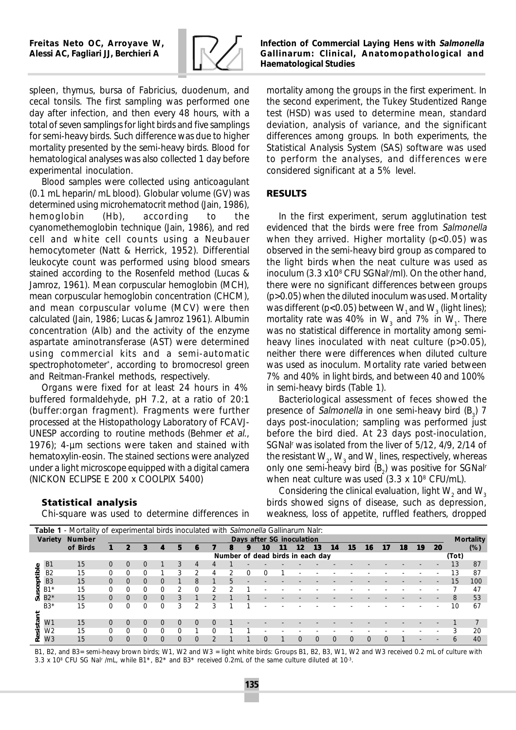

*Infection of Commercial Laying Hens with Salmonella Gallinarum: Clinical, Anatomopathological and Haematological Studies*

mortality among the groups in the first experiment. In the second experiment, the Tukey Studentized Range

spleen, thymus, bursa of Fabricius, duodenum, and cecal tonsils. The first sampling was performed one day after infection, and then every 48 hours, with a total of seven samplings for light birds and five samplings for semi-heavy birds. Such difference was due to higher mortality presented by the semi-heavy birds. Blood for hematological analyses was also collected 1 day before experimental inoculation.

Blood samples were collected using anticoagulant (0.1 mL heparin/ mL blood). Globular volume (GV) was determined using microhematocrit method (Jain, 1986), hemoglobin (Hb), according to the cyanomethemoglobin technique (Jain, 1986), and red cell and white cell counts using a Neubauer hemocytometer (Natt & Herrick, 1952). Differential leukocyte count was performed using blood smears stained according to the Rosenfeld method (Lucas & Jamroz, 1961). Mean corpuscular hemoglobin (MCH), mean corpuscular hemoglobin concentration (CHCM), and mean corpuscular volume (MCV) were then calculated (Jain, 1986; Lucas & Jamroz 1961). Albumin concentration (Alb) and the activity of the enzyme aspartate aminotransferase (AST) were determined using commercial kits and a semi-automatic spectrophotometer\* , according to bromocresol green and Reitman-Frankel methods, respectively.

Organs were fixed for at least 24 hours in 4% buffered formaldehyde, pH 7.2, at a ratio of 20:1 (buffer:organ fragment). Fragments were further processed at the Histopathology Laboratory of FCAVJ-UNESP according to routine methods (Behmer et al., 1976); 4-µm sections were taken and stained with hematoxylin-eosin. The stained sections were analyzed under a light microscope equipped with a digital camera (NICKON ECLIPSE E 200 x COOLPIX 5400)

# test (HSD) was used to determine mean, standard deviation, analysis of variance, and the significant differences among groups. In both experiments, the Statistical Analysis System (SAS) software was used to perform the analyses, and differences were considered significant at a 5% level.

# **RESULTS**

In the first experiment, serum agglutination test evidenced that the birds were free from Salmonella when they arrived. Higher mortality  $(p<0.05)$  was observed in the semi-heavy bird group as compared to the light birds when the neat culture was used as inoculum (3.3 x108 CFU SGNalr /ml). On the other hand, there were no significant differences between groups (p>0.05) when the diluted inoculum was used. Mortality was different (p<0.05) between  $\mathrm{W}_\text{\tiny{1}}$  and  $\mathrm{W}_\text{\tiny{3}}$  (light lines); mortality rate was 40% in  $\text{W}_{\text{3}}$  and 7% in  $\text{W}_{\text{1}}$ . There was no statistical difference in mortality among semiheavy lines inoculated with neat culture (p>0.05), neither there were differences when diluted culture was used as inoculum. Mortality rate varied between 7% and 40% in light birds, and between 40 and 100% in semi-heavy birds (Table 1).

Bacteriological assessment of feces showed the presence of *Salmonella* in one semi-heavy bird  $(B_3)$  7 days post-inoculation; sampling was performed just before the bird died. At 23 days post-inoculation, SGNalr was isolated from the liver of 5/12, 4/9, 2/14 of the resistant  $\mathrm{W}_\mathrm{2}$ ,  $\mathrm{W}_\mathrm{3}$  and  $\mathrm{W}_\mathrm{1}$  lines, respectively, whereas only one semi-heavy bird (B<sub>2</sub>) was positive for SGNal<sup>r</sup> when neat culture was used (3.3 x 108 CFU/mL).

## **Statistical analysis**

Chi-square was used to determine differences in

Considering the clinical evaluation, light  $\rm W_2$  and  $\rm W_3$ birds showed signs of disease, such as depression, weakness, loss of appetite, ruffled feathers, dropped

| Table 1 - Mortality of experimental birds inoculated with Salmonella Gallinarum Nalr: |                        |                       |          |          |          |          |          |                       |                |    |  |                  |    |                                  |    |    |          |          |    |    |    |    |       |                  |
|---------------------------------------------------------------------------------------|------------------------|-----------------------|----------|----------|----------|----------|----------|-----------------------|----------------|----|--|------------------|----|----------------------------------|----|----|----------|----------|----|----|----|----|-------|------------------|
|                                                                                       |                        | <b>Variety Number</b> |          |          |          |          |          |                       |                |    |  |                  |    | <b>Days after SG inoculation</b> |    |    |          |          |    |    |    |    |       | <b>Mortality</b> |
|                                                                                       |                        | of Birds              |          | 2        | 3        |          | 5        | к                     |                |    |  | <i><b>10</b></i> | 11 | 12                               | 13 | 14 | 15       | 16       | 17 | 18 | 19 | 20 |       | (%)              |
|                                                                                       |                        |                       |          |          |          |          |          |                       |                |    |  |                  |    | Number of dead birds in each day |    |    |          |          |    |    |    |    | (Tot) |                  |
| $\bullet$                                                                             | B <sub>1</sub>         | 15                    | 0        | $\Omega$ |          |          | 3        | 4                     |                |    |  |                  |    |                                  |    |    |          |          |    |    |    |    | 13    | 87               |
| ē                                                                                     | B2                     | 15                    | 0        | o        |          |          | 3        | $\mathbf{2}^{\prime}$ | 4              |    |  |                  |    |                                  |    |    |          |          |    |    |    |    | 13    | 87               |
| 휴                                                                                     | <b>B3</b>              | 15                    | $\Omega$ | $\Omega$ |          | $\Omega$ |          | 8                     |                |    |  |                  |    |                                  |    |    |          |          |    |    |    |    | 15    | 100              |
|                                                                                       | $B1*$                  | 15                    | $\Omega$ |          |          | 0        | 2        | $\Omega$              | $\overline{c}$ | 2. |  |                  |    |                                  |    |    |          |          |    |    |    |    |       | 47               |
| ச                                                                                     | $B2*$                  | 15                    | $\Omega$ | $\Omega$ | $\Omega$ | $\Omega$ | 3        |                       | $\mathfrak{D}$ |    |  |                  |    |                                  |    |    |          |          |    |    |    |    | 8     | 53               |
|                                                                                       | $B3*$                  | 15                    | $\Omega$ |          |          | 0        | 3        | 2                     | 3              |    |  |                  |    |                                  |    |    |          |          |    |    |    |    | 10    | 67               |
|                                                                                       |                        |                       |          |          |          |          |          |                       |                |    |  |                  |    |                                  |    |    |          |          |    |    |    |    |       |                  |
|                                                                                       | W <sub>1</sub>         | 15                    |          | $\Omega$ |          | $\Omega$ | $\Omega$ |                       |                |    |  |                  |    |                                  |    |    |          |          |    |    |    |    |       |                  |
|                                                                                       | $\overline{\text{W2}}$ | 15                    |          |          |          | 0        | $\Omega$ |                       |                |    |  |                  |    |                                  |    |    |          |          |    |    |    |    | 3     | 20               |
|                                                                                       | W3                     | 15                    | $\Omega$ | $\Omega$ | $\Omega$ | $\Omega$ | $\Omega$ | $\Omega$              | $\mathbf{P}$   |    |  |                  |    | $\Omega$                         |    |    | $\Omega$ | $\Omega$ | ſ  |    |    |    | 6     | 40               |

B1, B2, and B3= semi-heavy brown birds; W1, W2 and W3 = light white birds: Groups B1, B2, B3, W1, W2 and W3 received 0.2 mL of culture with 3.3 x 10<sup>8</sup> CFU SG Nal<sup>r</sup> /mL, while B1<sup>\*</sup>, B2<sup>\*</sup> and B3<sup>\*</sup> received 0.2mL of the same culture diluted at 10<sup>3</sup>.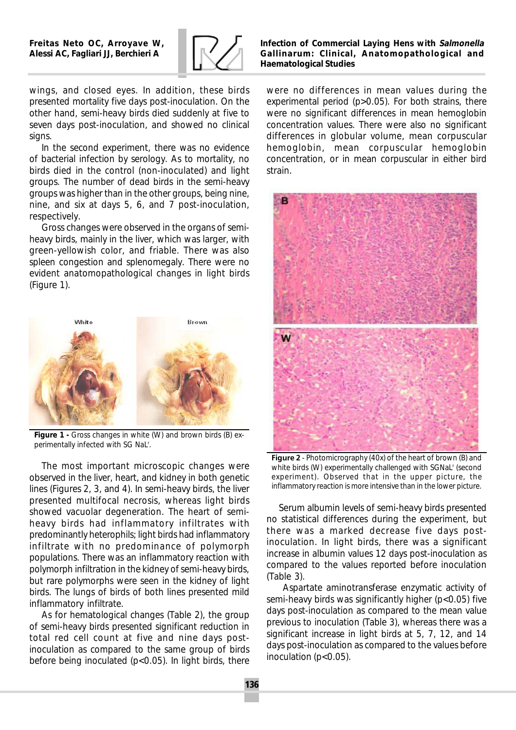

*Infection of Commercial Laying Hens with Salmonella Gallinarum: Clinical, Anatomopathological and Haematological Studies*

wings, and closed eyes. In addition, these birds presented mortality five days post-inoculation. On the other hand, semi-heavy birds died suddenly at five to seven days post-inoculation, and showed no clinical signs.

In the second experiment, there was no evidence of bacterial infection by serology. As to mortality, no birds died in the control (non-inoculated) and light groups. The number of dead birds in the semi-heavy groups was higher than in the other groups, being nine, nine, and six at days 5, 6, and 7 post-inoculation, respectively.

Gross changes were observed in the organs of semiheavy birds, mainly in the liver, which was larger, with green-yellowish color, and friable. There was also spleen congestion and splenomegaly. There were no evident anatomopathological changes in light birds (Figure 1).



*Figure 1 -* Gross changes in white (W) and brown birds (B) experimentally infected with SG NaL<sup>r</sup>.

The most important microscopic changes were observed in the liver, heart, and kidney in both genetic lines (Figures 2, 3, and 4). In semi-heavy birds, the liver presented multifocal necrosis, whereas light birds showed vacuolar degeneration. The heart of semiheavy birds had inflammatory infiltrates with predominantly heterophils; light birds had inflammatory infiltrate with no predominance of polymorph populations. There was an inflammatory reaction with polymorph infiltration in the kidney of semi-heavy birds, but rare polymorphs were seen in the kidney of light birds. The lungs of birds of both lines presented mild inflammatory infiltrate.

As for hematological changes (Table 2), the group of semi-heavy birds presented significant reduction in total red cell count at five and nine days postinoculation as compared to the same group of birds before being inoculated  $(p<0.05)$ . In light birds, there

were no differences in mean values during the experimental period (p>0.05). For both strains, there were no significant differences in mean hemoglobin concentration values. There were also no significant differences in globular volume, mean corpuscular hemoglobin, mean corpuscular hemoglobin concentration, or in mean corpuscular in either bird strain.



**Figure 2** - Photomicrography (40x) of the heart of brown (B) and white birds (W) experimentally challenged with SGNaL<sup>r</sup> (second experiment). Observed that in the upper picture, the inflammatory reaction is more intensive than in the lower picture.

Serum albumin levels of semi-heavy birds presented no statistical differences during the experiment, but there was a marked decrease five days postinoculation. In light birds, there was a significant increase in albumin values 12 days post-inoculation as compared to the values reported before inoculation (Table 3).

 Aspartate aminotransferase enzymatic activity of semi-heavy birds was significantly higher (p<0.05) five days post-inoculation as compared to the mean value previous to inoculation (Table 3), whereas there was a significant increase in light birds at 5, 7, 12, and 14 days post-inoculation as compared to the values before inoculation ( $p<0.05$ ).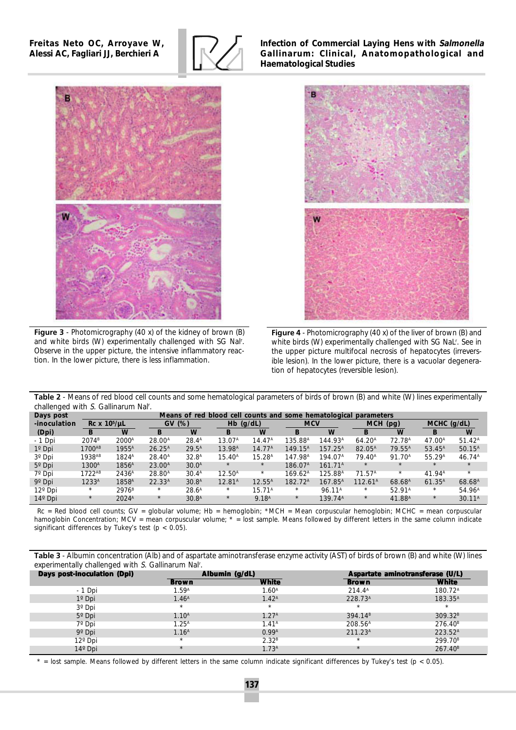*Freitas Neto OC, Arroyave W, Alessi AC, Fagliari JJ, Berchieri A*



*Infection of Commercial Laying Hens with Salmonella Gallinarum: Clinical, Anatomopathological and Haematological Studies*



**Figure 3** - Photomicrography (40 x) of the kidney of brown (B) and white birds (W) experimentally challenged with SG Nalr . Observe in the upper picture, the intensive inflammatory reaction. In the lower picture, there is less inflammation.



**Figure 4** - Photomicrography (40 x) of the liver of brown (B) and white birds (W) experimentally challenged with SG NaL<sup>r</sup>. See in the upper picture multifocal necrosis of hepatocytes (irreversible lesion). In the lower picture, there is a vacuolar degeneration of hepatocytes (reversible lesion).

**Table 2** - Means of red blood cell counts and some hematological parameters of birds of brown (B) and white (W) lines experimentally challenged with S. Gallinarum Nal<sup>r</sup>.

| Days post                  |                      | Means of red blood cell counts and some hematological parameters |                    |                       |                    |                    |                     |                     |                     |                    |                    |                    |  |  |
|----------------------------|----------------------|------------------------------------------------------------------|--------------------|-----------------------|--------------------|--------------------|---------------------|---------------------|---------------------|--------------------|--------------------|--------------------|--|--|
| <i><b>-inoculation</b></i> |                      | $Rc \times 10^5/\mu L$                                           |                    | $\boldsymbol{G}V$ (%) |                    | <i>Hb</i> $(g/dL)$ |                     | <b>MCV</b>          |                     | $MCH$ (pg)         | $MCHC$ (g/dL)      |                    |  |  |
| (Dpi)                      |                      | $\boldsymbol{W}$                                                 | в                  | W                     | B                  | W                  | B                   | W                   |                     | W                  | B                  | W                  |  |  |
| $-1$ Dpi                   | 2074 <sup>B</sup>    | $2000^{\text{A}}$                                                | $28.00^{\text{A}}$ | $28.4^{\text{A}}$     | 13.07 <sup>A</sup> | 14.47 <sup>A</sup> | $135.88^{\text{A}}$ | 144.93 <sup>A</sup> | 64.20 <sup>A</sup>  | 72.78 <sup>A</sup> | $47.00^{\text{A}}$ | $51.42^{\text{A}}$ |  |  |
| $1^{\circ}$ Dpi            | 1700 <sup>AB</sup>   | 1955 <sup>A</sup>                                                | $26.25^{\text{A}}$ | $29.5^{\text{A}}$     | 13.98 <sup>A</sup> | 14.77 <sup>A</sup> | 149.15 <sup>A</sup> | 157.25 <sup>A</sup> | 82.05 <sup>A</sup>  | 79.55 <sup>A</sup> | 53.45 <sup>A</sup> | $50.15^{\text{A}}$ |  |  |
| 3 <sup>o</sup> Dpi         | $1938$ <sup>AB</sup> | $1824^{\text{A}}$                                                | $28.40^{\text{A}}$ | 32.8 <sup>A</sup>     | $15.40^{\text{A}}$ | 15.28 <sup>A</sup> | 147.98 <sup>A</sup> | 194.07 <sup>A</sup> | 79.40 <sup>A</sup>  | 91.70 <sup>A</sup> | 55.29 <sup>A</sup> | $46.74^{\text{A}}$ |  |  |
| $5^{\circ}$ Dpi            | 1300 <sup>A</sup>    | 1856 <sup>A</sup>                                                | 23.00 <sup>A</sup> | 30.0 <sup>A</sup>     | $\ast$             | $\ast$             | 186.07 <sup>A</sup> | 161.71 <sup>A</sup> | $*$                 | $*$                | $*$                | $\ast$             |  |  |
| $7°$ Dpi                   | $1722^{AB}$          | 2436 <sup>A</sup>                                                | $28.80^{\text{A}}$ | 30.4 <sup>A</sup>     | $12.50^{\text{A}}$ | $\ast$             | $169.62^{\text{A}}$ | 125.88 <sup>A</sup> | 71.57 <sup>A</sup>  | $\ast$             | 41.94 <sup>A</sup> | $\ast$             |  |  |
| $9^{\circ}$ Dpi            | 1233 <sup>A</sup>    | 1858 <sup>A</sup>                                                | 22.33 <sup>A</sup> | 30.8 <sup>A</sup>     | 12.81 <sup>A</sup> | $12.55^{\text{A}}$ | 182.72 <sup>A</sup> | 167.85 <sup>A</sup> | 112.61 <sup>A</sup> | 68.68 <sup>A</sup> | 61.35 <sup>A</sup> | 68.68 <sup>A</sup> |  |  |
| $12^{\circ}$ Dpi           | *                    | 2976 <sup>B</sup>                                                | $*$                | $28.6^{\text{A}}$     | $\ast$             | 15.71 <sup>A</sup> | $*$                 | 96.11 <sup>A</sup>  | $\ast$              | 52.91 <sup>A</sup> | *                  | 54.96 <sup>A</sup> |  |  |
| $14^{\circ}$ Dpi           | $*$                  | $2024^{\text{A}}$                                                | $*$                | 30.8 <sup>A</sup>     | $\ast$             | 9.18 <sup>A</sup>  | $\ast$              | 139.74 <sup>A</sup> | $*$                 | 41.88 <sup>A</sup> | $*$                | 30.11 <sup>A</sup> |  |  |

 $Rc = Red blood cell counts$ ;  $GV = globular volume$ ;  $Hb = hemoglobin$ ;  $*MCH = Mean corpuscular hemoglobin$ ;  $MCH = Nean$  corpuscular hemoglobin;  $MCHC = mean corpuscular$ hamoglobin Concentration; MCV = mean corpuscular volume; \* = lost sample. Means followed by different letters in the same column indicate significant differences by Tukey's test ( $p < 0.05$ ).

**Table 3** - Albumin concentration (Alb) and of aspartate aminotransferase enzyme activity (AST) of birds of brown (B) and white (W) lines experimentally challenged with S. Gallinarum Nal<sup>r</sup>.

| <b>Days post-inoculation (Dpi)</b> |                   | Albumin (g/dL)    | Aspartate aminotransferase (U/L) |                     |  |  |  |
|------------------------------------|-------------------|-------------------|----------------------------------|---------------------|--|--|--|
|                                    | Brown             | <b>White</b>      | Brown                            | White               |  |  |  |
| $-1$ Dpi                           | $1.59^{\rm A}$    | 1.60 <sup>A</sup> | $214.4^{\text{A}}$               | 180.72 <sup>A</sup> |  |  |  |
| $1^{\circ}$ Dpi                    | 1.46 <sup>A</sup> | 1.42 <sup>A</sup> | 228.73 <sup>A</sup>              | 183.35 <sup>A</sup> |  |  |  |
| $3^{\circ}$ Dpi                    | $\ast$            | $\ast$            | ÷                                | $\ast$              |  |  |  |
| $5^{\circ}$ Dpi                    | $1.10^{\rm A}$    | $1.27^{\rm A}$    | $394.14^{B}$                     | $309.32^{B}$        |  |  |  |
| 7º Dpi                             | $1.25^{\text{A}}$ | 1.41 <sup>A</sup> | $208.56^{\text{A}}$              | 276.40 <sup>B</sup> |  |  |  |
| $9^{\circ}$ Dpi                    | $1.16^{\rm A}$    | 0.99 <sup>A</sup> | 211.23 <sup>A</sup>              | 223.52 <sup>A</sup> |  |  |  |
| $12^{\circ}$ Dpi                   | $\ast$            | $2.32^{B}$        | $\ast$                           | 299.70 <sup>B</sup> |  |  |  |
| $14^{\circ}$ Dpi                   | $\ast$            | 1.73 <sup>A</sup> | $*$                              | $267.40^{B}$        |  |  |  |

 $=$  lost sample. Means followed by different letters in the same column indicate significant differences by Tukey's test (p < 0.05).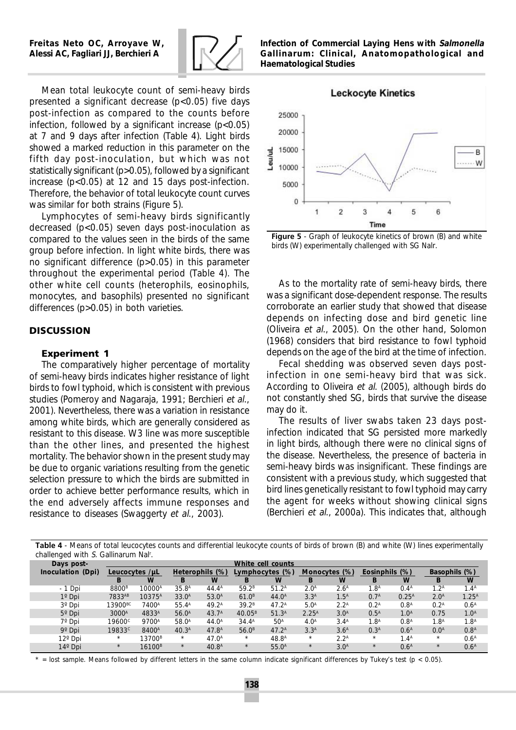

Mean total leukocyte count of semi-heavy birds presented a significant decrease  $(p<0.05)$  five days post-infection as compared to the counts before infection, followed by a significant increase  $(p<0.05)$ at 7 and 9 days after infection (Table 4). Light birds showed a marked reduction in this parameter on the fifth day post-inoculation, but which was not statistically significant (p>0.05), followed by a significant increase (p<0.05) at 12 and 15 days post-infection. Therefore, the behavior of total leukocyte count curves was similar for both strains (Figure 5).

Lymphocytes of semi-heavy birds significantly decreased  $(p<0.05)$  seven days post-inoculation as compared to the values seen in the birds of the same group before infection. In light white birds, there was no significant difference (p>0.05) in this parameter throughout the experimental period (Table 4). The other white cell counts (heterophils, eosinophils, monocytes, and basophils) presented no significant differences (p>0.05) in both varieties.

### **DISCUSSION**

#### **Experiment 1**

The comparatively higher percentage of mortality of semi-heavy birds indicates higher resistance of light birds to fowl typhoid, which is consistent with previous studies (Pomeroy and Nagaraja, 1991; Berchieri et al., 2001). Nevertheless, there was a variation in resistance among white birds, which are generally considered as resistant to this disease. W3 line was more susceptible than the other lines, and presented the highest mortality. The behavior shown in the present study may be due to organic variations resulting from the genetic selection pressure to which the birds are submitted in order to achieve better performance results, which in the end adversely affects immune responses and resistance to diseases (Swaggerty et al., 2003).

*Infection of Commercial Laying Hens with Salmonella Gallinarum: Clinical, Anatomopathological and Haematological Studies*



**Figure 5** - Graph of leukocyte kinetics of brown (B) and white birds (W) experimentally challenged with SG Nalr.

As to the mortality rate of semi-heavy birds, there was a significant dose-dependent response. The results corroborate an earlier study that showed that disease depends on infecting dose and bird genetic line (Oliveira et al., 2005). On the other hand, Solomon (1968) considers that bird resistance to fowl typhoid depends on the age of the bird at the time of infection.

Fecal shedding was observed seven days postinfection in one semi-heavy bird that was sick. According to Oliveira et al. (2005), although birds do not constantly shed SG, birds that survive the disease may do it.

The results of liver swabs taken 23 days postinfection indicated that SG persisted more markedly in light birds, although there were no clinical signs of the disease. Nevertheless, the presence of bacteria in semi-heavy birds was insignificant. These findings are consistent with a previous study, which suggested that bird lines genetically resistant to fowl typhoid may carry the agent for weeks without showing clinical signs (Berchieri et al., 2000a). This indicates that, although

**Table 4** - Means of total leucocytes counts and differential leukocyte counts of birds of brown (B) and white (W) lines experimentally challenged with S. Gallinarum Nal<sup>r</sup>.

| Days post-               |                        | White cell counts  |                           |                   |                    |                   |                  |                  |                        |                  |                      |                  |  |
|--------------------------|------------------------|--------------------|---------------------------|-------------------|--------------------|-------------------|------------------|------------------|------------------------|------------------|----------------------|------------------|--|
| <b>Inoculation</b> (Dpi) | Leucocytes $/ \mu L$   |                    | <i>Heterophils</i> $(\%)$ |                   | Lymphocytes (%)    |                   | Monocytes (%)    |                  | <b>Eosinphils</b> (%)  |                  | <b>Basophils</b> (%) |                  |  |
|                          | B                      | $\boldsymbol{W}$   |                           | $\boldsymbol{W}$  |                    | W                 | B                | W                | B                      | $\boldsymbol{W}$ |                      | W                |  |
| $-1$ Dpi                 | 8800 <sup>B</sup>      | 10000 <sup>A</sup> | 35.8 <sup>A</sup>         | $44.4^{\text{A}}$ | 59.2 <sup>B</sup>  | $51.2^{\text{A}}$ | 2.0 <sup>A</sup> | 2.6 <sup>A</sup> | $1.8^{\text{\tiny A}}$ | 0.4 <sup>A</sup> | $1.2^{\text{A}}$     | 1.4 <sup>A</sup> |  |
| $1^{\circ}$ Dpi          | 7833AB                 | 10375 <sup>A</sup> | 33.0 <sup>A</sup>         | 53.0 <sup>A</sup> | 61.0 <sup>B</sup>  | $44.0^{\text{A}}$ | 3.3 <sup>A</sup> | 1.5 <sup>A</sup> | 0.7 <sup>A</sup>       | $0.25^{A}$       | 2.0 <sup>A</sup>     | $1.25^{A}$       |  |
| 3 <sup>o</sup> Dpi       | $13900\text{\tiny BC}$ | 7400 <sup>A</sup>  | $55.4^{\text{A}}$         | $49.2^{\text{A}}$ | 39.2 <sup>B</sup>  | $47.2^{\text{A}}$ | 5.0 <sup>A</sup> | $2.2^{\rm A}$    | 0.2 <sup>A</sup>       | 0.8 <sup>A</sup> | 0.2 <sup>A</sup>     | 0.6 <sup>A</sup> |  |
| $5^{\circ}$ Dpi          | 3000 <sup>A</sup>      | 4833 <sup>A</sup>  | 56.0 <sup>A</sup>         | 43.7 <sup>A</sup> | $40.05^{\text{B}}$ | 51.3 <sup>A</sup> | $2.25^{A}$       | 3.0 <sup>A</sup> | 0.5 <sup>A</sup>       | 1.0 <sup>A</sup> | 0.75                 | 1.0 <sup>A</sup> |  |
| 7 <sup>o</sup> Dpi       | $19600^{\circ}$        | 9700 <sup>A</sup>  | 58.0 <sup>A</sup>         | $44.0^{\rm A}$    | $34.4^{\text{A}}$  | 50 <sup>A</sup>   | 4.0 <sup>A</sup> | 3.4 <sup>A</sup> | 1.8 <sup>A</sup>       | 0.8 <sup>A</sup> | 1.8 <sup>A</sup>     | 1.8 <sup>A</sup> |  |
| 9 <sup>o</sup> Dpi       | 19833 <sup>c</sup>     | 8400 <sup>A</sup>  | 40.3 <sup>A</sup>         | 47.8 <sup>A</sup> | 56.0 <sup>B</sup>  | $47.2^{\text{A}}$ | 3.3 <sup>A</sup> | 3.6 <sup>A</sup> | 0.3 <sup>A</sup>       | 0.6 <sup>A</sup> | 0.0 <sup>A</sup>     | 0.8 <sup>A</sup> |  |
| 12 <sup>°</sup> Dpi      | *                      | 13700 <sup>B</sup> | $*$                       | 47.0 <sup>A</sup> | $\ast$             | $48.8^{\text{A}}$ | $*$              | 2.2 <sup>A</sup> | $\ast$                 | 1.4 <sup>A</sup> | $\ast$               | 0.6 <sup>A</sup> |  |
| 14 <sup>°</sup> Dpi      | $\ast$                 | 16100 <sup>B</sup> | $*$                       | 40.8 <sup>A</sup> | $\ast$             | $55.0^{\text{A}}$ | $\ast$           | 3.0 <sup>A</sup> | $\ast$                 | 0.6 <sup>A</sup> | $\ast$               | 0.6 <sup>A</sup> |  |

 $=$  lost sample. Means followed by different letters in the same column indicate significant differences by Tukey's test (p < 0.05).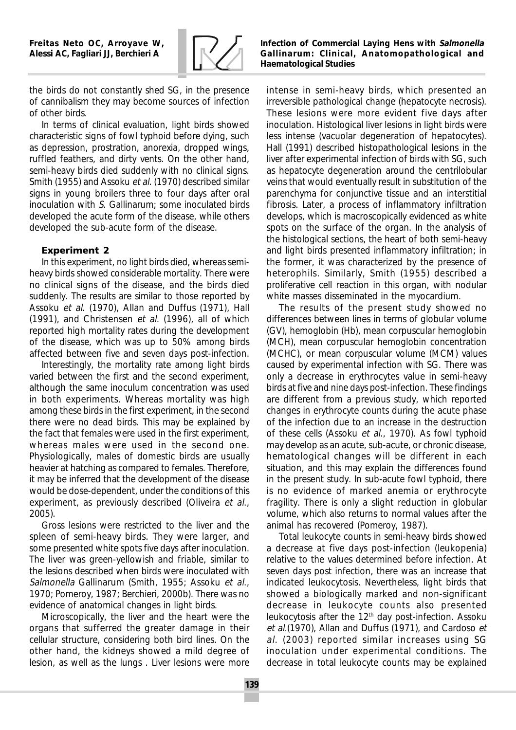

the birds do not constantly shed SG, in the presence of cannibalism they may become sources of infection of other birds.

In terms of clinical evaluation, light birds showed characteristic signs of fowl typhoid before dying, such as depression, prostration, anorexia, dropped wings, ruffled feathers, and dirty vents. On the other hand, semi-heavy birds died suddenly with no clinical signs. Smith (1955) and Assoku et al. (1970) described similar signs in young broilers three to four days after oral inoculation with S. Gallinarum; some inoculated birds developed the acute form of the disease, while others developed the sub-acute form of the disease.

## **Experiment 2**

In this experiment, no light birds died, whereas semiheavy birds showed considerable mortality. There were no clinical signs of the disease, and the birds died suddenly. The results are similar to those reported by Assoku et al. (1970), Allan and Duffus (1971), Hall (1991), and Christensen et al. (1996), all of which reported high mortality rates during the development of the disease, which was up to 50% among birds affected between five and seven days post-infection.

Interestingly, the mortality rate among light birds varied between the first and the second experiment, although the same inoculum concentration was used in both experiments. Whereas mortality was high among these birds in the first experiment, in the second there were no dead birds. This may be explained by the fact that females were used in the first experiment, whereas males were used in the second one. Physiologically, males of domestic birds are usually heavier at hatching as compared to females. Therefore, it may be inferred that the development of the disease would be dose-dependent, under the conditions of this experiment, as previously described (Oliveira et al., 2005).

Gross lesions were restricted to the liver and the spleen of semi-heavy birds. They were larger, and some presented white spots five days after inoculation. The liver was green-yellowish and friable, similar to the lesions described when birds were inoculated with Salmonella Gallinarum (Smith, 1955; Assoku et al., 1970; Pomeroy, 1987; Berchieri, 2000b). There was no evidence of anatomical changes in light birds.

Microscopically, the liver and the heart were the organs that sufferred the greater damage in their cellular structure, considering both bird lines. On the other hand, the kidneys showed a mild degree of lesion, as well as the lungs . Liver lesions were more

*Infection of Commercial Laying Hens with Salmonella Gallinarum: Clinical, Anatomopathological and Haematological Studies*

intense in semi-heavy birds, which presented an irreversible pathological change (hepatocyte necrosis). These lesions were more evident five days after inoculation. Histological liver lesions in light birds were less intense (vacuolar degeneration of hepatocytes). Hall (1991) described histopathological lesions in the liver after experimental infection of birds with SG, such as hepatocyte degeneration around the centrilobular veins that would eventually result in substitution of the parenchyma for conjunctive tissue and an interstitial fibrosis. Later, a process of inflammatory infiltration develops, which is macroscopically evidenced as white spots on the surface of the organ. In the analysis of the histological sections, the heart of both semi-heavy and light birds presented inflammatory infiltration; in the former, it was characterized by the presence of heterophils. Similarly, Smith (1955) described a proliferative cell reaction in this organ, with nodular white masses disseminated in the myocardium.

The results of the present study showed no differences between lines in terms of globular volume (GV), hemoglobin (Hb), mean corpuscular hemoglobin (MCH), mean corpuscular hemoglobin concentration (MCHC), or mean corpuscular volume (MCM) values caused by experimental infection with SG. There was only a decrease in erythrocytes value in semi-heavy birds at five and nine days post-infection. These findings are different from a previous study, which reported changes in erythrocyte counts during the acute phase of the infection due to an increase in the destruction of these cells (Assoku et al., 1970). As fowl typhoid may develop as an acute, sub-acute, or chronic disease, hematological changes will be different in each situation, and this may explain the differences found in the present study. In sub-acute fowl typhoid, there is no evidence of marked anemia or erythrocyte fragility. There is only a slight reduction in globular volume, which also returns to normal values after the animal has recovered (Pomeroy, 1987).

Total leukocyte counts in semi-heavy birds showed a decrease at five days post-infection (leukopenia) relative to the values determined before infection. At seven days post infection, there was an increase that indicated leukocytosis. Nevertheless, light birds that showed a biologically marked and non-significant decrease in leukocyte counts also presented leukocytosis after the  $12<sup>th</sup>$  day post-infection. Assoku et al.(1970), Allan and Duffus (1971), and Cardoso et al. (2003) reported similar increases using SG inoculation under experimental conditions. The decrease in total leukocyte counts may be explained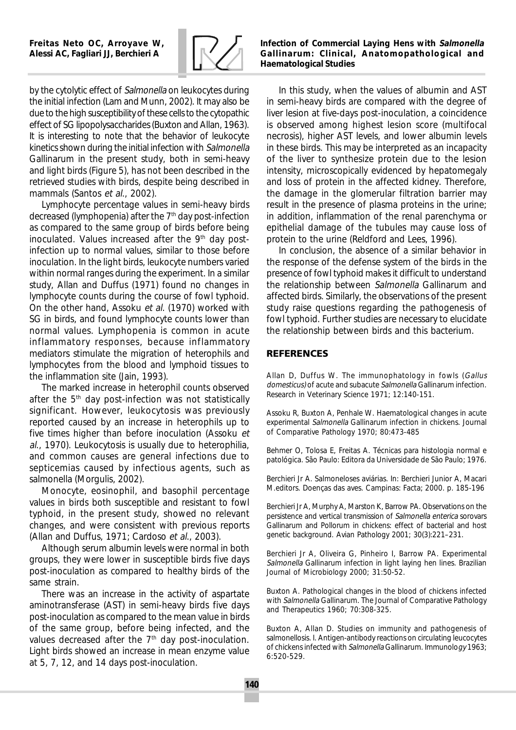

by the cytolytic effect of Salmonella on leukocytes during the initial infection (Lam and Munn, 2002). It may also be due to the high susceptibility of these cells to the cytopathic effect of SG lipopolysaccharides (Buxton and Allan, 1963). It is interesting to note that the behavior of leukocyte kinetics shown during the initial infection with Salmonella Gallinarum in the present study, both in semi-heavy and light birds (Figure 5), has not been described in the retrieved studies with birds, despite being described in mammals (Santos et al., 2002).

Lymphocyte percentage values in semi-heavy birds decreased (lymphopenia) after the 7<sup>th</sup> day post-infection as compared to the same group of birds before being inoculated. Values increased after the  $9<sup>th</sup>$  day postinfection up to normal values, similar to those before inoculation. In the light birds, leukocyte numbers varied within normal ranges during the experiment. In a similar study, Allan and Duffus (1971) found no changes in lymphocyte counts during the course of fowl typhoid. On the other hand, Assoku et al. (1970) worked with SG in birds, and found lymphocyte counts lower than normal values. Lymphopenia is common in acute inflammatory responses, because inflammatory mediators stimulate the migration of heterophils and lymphocytes from the blood and lymphoid tissues to the inflammation site (Jain, 1993).

The marked increase in heterophil counts observed after the  $5<sup>th</sup>$  day post-infection was not statistically significant. However, leukocytosis was previously reported caused by an increase in heterophils up to five times higher than before inoculation (Assoku et al., 1970). Leukocytosis is usually due to heterophilia, and common causes are general infections due to septicemias caused by infectious agents, such as salmonella (Morgulis, 2002).

Monocyte, eosinophil, and basophil percentage values in birds both susceptible and resistant to fowl typhoid, in the present study, showed no relevant changes, and were consistent with previous reports (Allan and Duffus, 1971; Cardoso et al., 2003).

Although serum albumin levels were normal in both groups, they were lower in susceptible birds five days post-inoculation as compared to healthy birds of the same strain.

There was an increase in the activity of aspartate aminotransferase (AST) in semi-heavy birds five days post-inoculation as compared to the mean value in birds of the same group, before being infected, and the values decreased after the  $7<sup>th</sup>$  day post-inoculation. Light birds showed an increase in mean enzyme value at 5, 7, 12, and 14 days post-inoculation.

*Infection of Commercial Laying Hens with Salmonella Gallinarum: Clinical, Anatomopathological and Haematological Studies*

In this study, when the values of albumin and AST in semi-heavy birds are compared with the degree of liver lesion at five-days post-inoculation, a coincidence is observed among highest lesion score (multifocal necrosis), higher AST levels, and lower albumin levels in these birds. This may be interpreted as an incapacity of the liver to synthesize protein due to the lesion intensity, microscopically evidenced by hepatomegaly and loss of protein in the affected kidney. Therefore, the damage in the glomerular filtration barrier may result in the presence of plasma proteins in the urine; in addition, inflammation of the renal parenchyma or epithelial damage of the tubules may cause loss of protein to the urine (Reldford and Lees, 1996).

In conclusion, the absence of a similar behavior in the response of the defense system of the birds in the presence of fowl typhoid makes it difficult to understand the relationship between Salmonella Gallinarum and affected birds. Similarly, the observations of the present study raise questions regarding the pathogenesis of fowl typhoid. Further studies are necessary to elucidate the relationship between birds and this bacterium.

### **REFERENCES**

Allan D, Duffus W. The immunophatology in fowls (Gallus domesticus) of acute and subacute Salmonella Gallinarum infection. Research in Veterinary Science 1971; 12:140-151.

Assoku R, Buxton A, Penhale W. Haematological changes in acute experimental Salmonella Gallinarum infection in chickens. Journal of Comparative Pathology 1970; 80:473-485

Behmer O, Tolosa E, Freitas A. Técnicas para histologia normal e patológica. São Paulo: Editora da Universidade de São Paulo; 1976.

Berchieri Jr A. Salmoneloses aviárias. In: Berchieri Junior A, Macari M.editors. Doenças das aves. Campinas: Facta; 2000. p. 185-196

Berchieri Jr A, Murphy A, Marston K, Barrow PA. Observations on the persistence and vertical transmission of Salmonella enterica sorovars Gallinarum and Pollorum in chickens: effect of bacterial and host genetic background. Avian Pathology 2001; 30(3):221–231.

Berchieri Jr A, Oliveira G, Pinheiro I, Barrow PA. Experimental Salmonella Gallinarum infection in light laying hen lines. Brazilian Journal of Microbiology 2000; 31:50-52.

Buxton A. Pathological changes in the blood of chickens infected with Salmonella Gallinarum. The Journal of Comparative Pathology and Therapeutics 1960; 70:308-325.

Buxton A, Allan D. Studies on immunity and pathogenesis of salmonellosis. I. Antigen-antibody reactions on circulating leucocytes of chickens infected with Salmonella Gallinarum. Immunology 1963; 6:520-529.